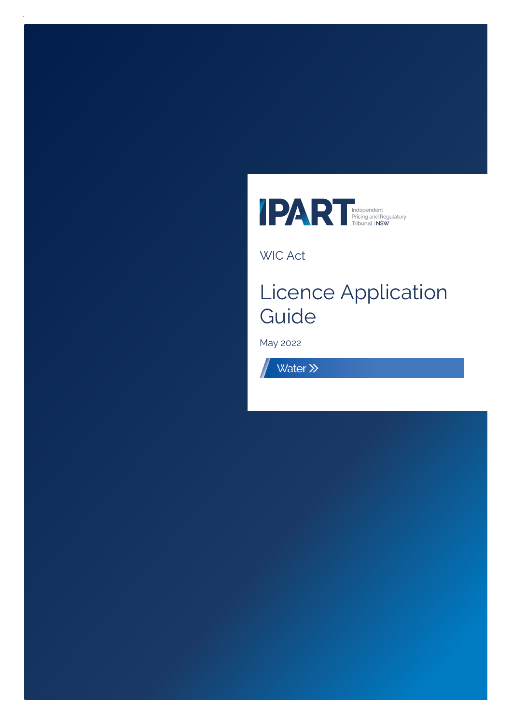

WIC Act

# Licence Application Guide

May 2022

Water >>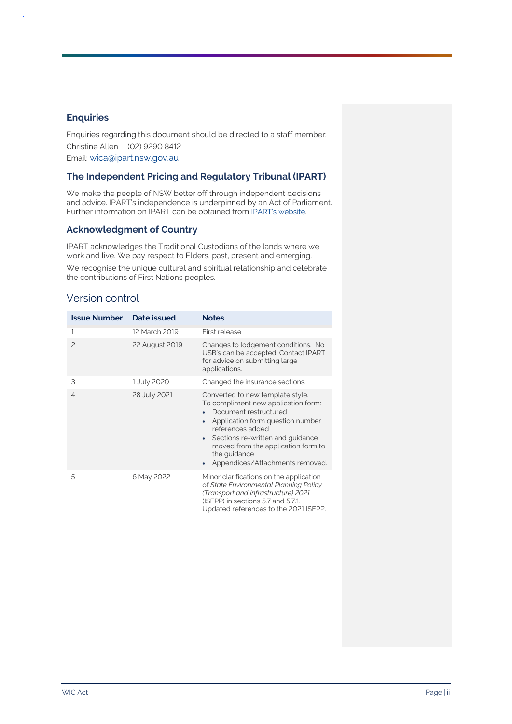#### **Enquiries**

Enquiries regarding this document should be directed to a staff member: Christine Allen (02) 9290 8412 Email: [wica@ipart.nsw.gov.au](file:///C:/Micro%20Focus%20Content%20Manager/Offline%20Records%20(CL)/WORKING%20PAPERS%20-%20Process%20-%20General(19)/wica@ipart.nsw.gov.au)

#### **The Independent Pricing and Regulatory Tribunal (IPART)**

We make the people of NSW better off through independent decisions and advice. IPART's independence is underpinned by an Act of Parliament. Further information on IPART can be obtained from [IPART's website](https://www.ipart.nsw.gov.au/Home).

#### **Acknowledgment of Country**

IPART acknowledges the Traditional Custodians of the lands where we work and live. We pay respect to Elders, past, present and emerging.

We recognise the unique cultural and spiritual relationship and celebrate the contributions of First Nations peoples.

#### Version control

| <b>Issue Number</b> | Date issued    | <b>Notes</b>                                                                                                                                                                                                                                                                                                                 |
|---------------------|----------------|------------------------------------------------------------------------------------------------------------------------------------------------------------------------------------------------------------------------------------------------------------------------------------------------------------------------------|
| 1                   | 12 March 2019  | First release                                                                                                                                                                                                                                                                                                                |
| $\mathcal{P}$       | 22 August 2019 | Changes to lodgement conditions. No<br>USB's can be accepted. Contact IPART<br>for advice on submitting large<br>applications.                                                                                                                                                                                               |
| 3                   | 1 July 2020    | Changed the insurance sections.                                                                                                                                                                                                                                                                                              |
| $\overline{4}$      | 28 July 2021   | Converted to new template style.<br>To compliment new application form:<br>Document restructured<br>Application form question number<br>$\bullet$<br>references added<br>Sections re-written and guidance<br>$\bullet$<br>moved from the application form to<br>the guidance<br>Appendices/Attachments removed.<br>$\bullet$ |
| 5                   | 6 May 2022     | Minor clarifications on the application<br>of State Environmental Planning Policy<br>(Transport and Infrastructure) 2021<br>(ISEPP) in sections 5.7 and 5.7.1.<br>Updated references to the 2021 ISEPP.                                                                                                                      |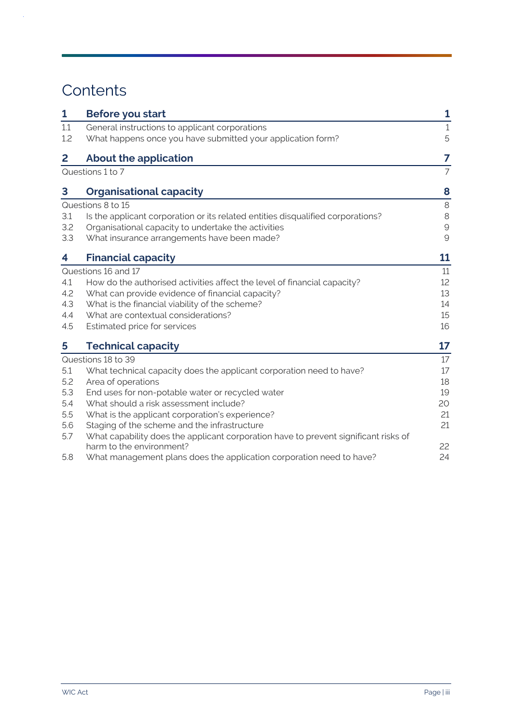# **Contents**

 $\mathcal{L}$ 

| 1   | <b>Before you start</b>                                                                                         | 1              |
|-----|-----------------------------------------------------------------------------------------------------------------|----------------|
| 1.1 | General instructions to applicant corporations                                                                  | $\mathbf{1}$   |
| 1.2 | What happens once you have submitted your application form?                                                     | 5              |
| 2   | <b>About the application</b>                                                                                    | 7              |
|     | Questions 1 to 7                                                                                                | $\overline{7}$ |
| 3   | <b>Organisational capacity</b>                                                                                  | 8              |
|     | Questions 8 to 15                                                                                               | 8              |
| 3.1 | Is the applicant corporation or its related entities disqualified corporations?                                 | 8              |
| 3.2 | Organisational capacity to undertake the activities                                                             | $\mathcal{G}$  |
| 3.3 | What insurance arrangements have been made?                                                                     | $\mathcal{Q}$  |
| 4   | <b>Financial capacity</b>                                                                                       | 11             |
|     | Questions 16 and 17                                                                                             | 11             |
| 4.1 | How do the authorised activities affect the level of financial capacity?                                        | 12             |
| 4.2 | What can provide evidence of financial capacity?                                                                | 13             |
| 4.3 | What is the financial viability of the scheme?                                                                  | 14             |
| 4.4 | What are contextual considerations?                                                                             | 15             |
| 4.5 | Estimated price for services                                                                                    | 16             |
| 5   | <b>Technical capacity</b>                                                                                       | 17             |
|     | Questions 18 to 39                                                                                              | 17             |
| 5.1 | What technical capacity does the applicant corporation need to have?                                            | 17             |
| 5.2 | Area of operations                                                                                              | 18             |
| 5.3 | End uses for non-potable water or recycled water                                                                | 19             |
| 5.4 | What should a risk assessment include?                                                                          | 20             |
| 5.5 | What is the applicant corporation's experience?                                                                 | 21             |
| 5.6 | Staging of the scheme and the infrastructure                                                                    | 21             |
| 5.7 | What capability does the applicant corporation have to prevent significant risks of<br>harm to the environment? | 22             |
| 5.8 | What management plans does the application corporation need to have?                                            | 24             |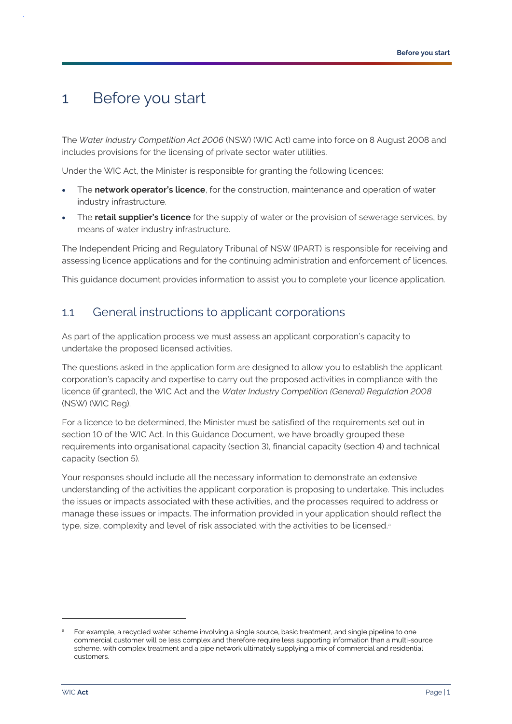### <span id="page-3-0"></span>1 Before you start

The *Water Industry Competition Act 2006* (NSW) (WIC Act) came into force on 8 August 2008 and includes provisions for the licensing of private sector water utilities.

Under the WIC Act, the Minister is responsible for granting the following licences:

- The **network operator's licence**, for the construction, maintenance and operation of water industry infrastructure.
- The **retail supplier's licence** for the supply of water or the provision of sewerage services, by means of water industry infrastructure.

The Independent Pricing and Regulatory Tribunal of NSW (IPART) is responsible for receiving and assessing licence applications and for the continuing administration and enforcement of licences.

This guidance document provides information to assist you to complete your licence application.

### <span id="page-3-1"></span>1.1 General instructions to applicant corporations

As part of the application process we must assess an applicant corporation's capacity to undertake the proposed licensed activities.

The questions asked in the application form are designed to allow you to establish the applicant corporation's capacity and expertise to carry out the proposed activities in compliance with the licence (if granted), the WIC Act and the *Water Industry Competition (General) Regulation 2008* (NSW) (WIC Reg).

For a licence to be determined, the Minister must be satisfied of the requirements set out in section 10 of the WIC Act. In this Guidance Document, we have broadly grouped these requirements into organisational capacity (section 3), financial capacity (section 4) and technical capacity (section 5).

Your responses should include all the necessary information to demonstrate an extensive understanding of the activities the applicant corporation is proposing to undertake. This includes the issues or impacts associated with these activities, and the processes required to address or manage these issues or impacts. The information provided in your application should reflect the type, size, complexity and level of risk associated with the activities to be licensed.<sup>a</sup>

For example, a recycled water scheme involving a single source, basic treatment, and single pipeline to one commercial customer will be less complex and therefore require less supporting information than a multi-source scheme, with complex treatment and a pipe network ultimately supplying a mix of commercial and residential customers.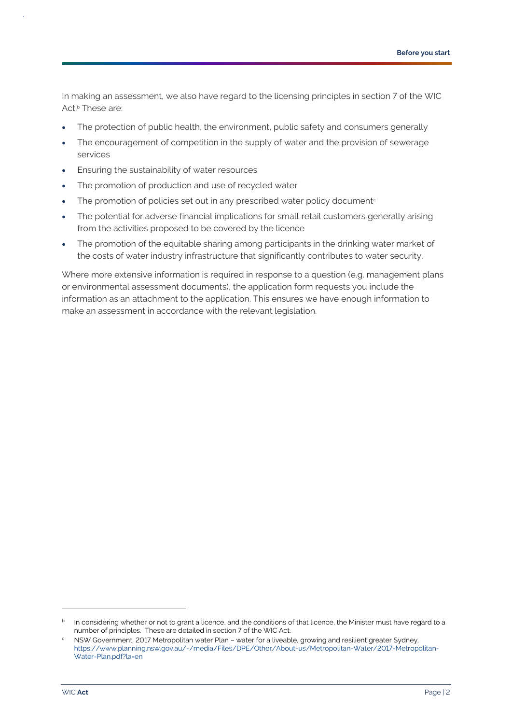In making an assessment, we also have regard to the licensing principles in section 7 of the WIC Act. <sup>b</sup> These are:

- The protection of public health, the environment, public safety and consumers generally
- The encouragement of competition in the supply of water and the provision of sewerage services
- Ensuring the sustainability of water resources
- The promotion of production and use of recycled water
- The promotion of policies set out in any prescribed water policy document $\epsilon$
- The potential for adverse financial implications for small retail customers generally arising from the activities proposed to be covered by the licence
- The promotion of the equitable sharing among participants in the drinking water market of the costs of water industry infrastructure that significantly contributes to water security.

Where more extensive information is required in response to a question (e.g. management plans or environmental assessment documents), the application form requests you include the information as an attachment to the application. This ensures we have enough information to make an assessment in accordance with the relevant legislation.

 $^{\rm b}$  In considering whether or not to grant a licence, and the conditions of that licence, the Minister must have regard to a number of principles. These are detailed in section 7 of the WIC Act.

<sup>c</sup> NSW Government, 2017 Metropolitan water Plan – water for a liveable, growing and resilient greater Sydney*,* [https://www.planning.nsw.gov.au/-/media/Files/DPE/Other/About-us/Metropolitan-Water/2017-Metropolitan-](https://www.planning.nsw.gov.au/-/media/Files/DPE/Other/About-us/Metropolitan-Water/2017-Metropolitan-Water-Plan.pdf?la=en)[Water-Plan.pdf?la=en](https://www.planning.nsw.gov.au/-/media/Files/DPE/Other/About-us/Metropolitan-Water/2017-Metropolitan-Water-Plan.pdf?la=en)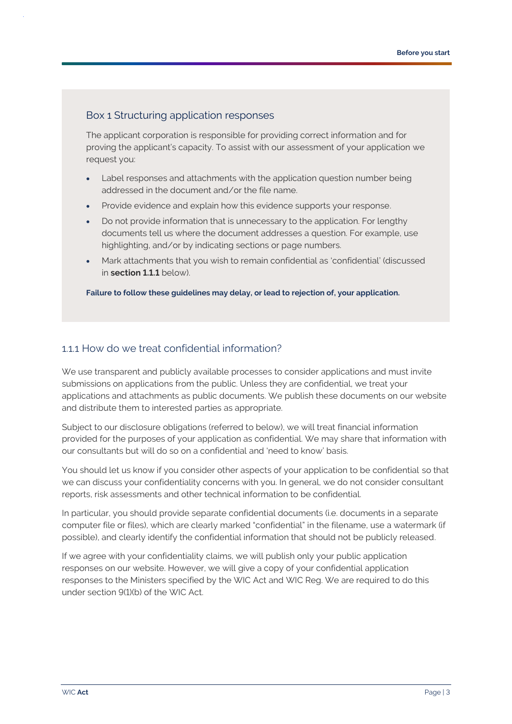#### Box 1 Structuring application responses

The applicant corporation is responsible for providing correct information and for proving the applicant's capacity. To assist with our assessment of your application we request you:

- Label responses and attachments with the application question number being addressed in the document and/or the file name.
- Provide evidence and explain how this evidence supports your response.
- Do not provide information that is unnecessary to the application. For lengthy documents tell us where the document addresses a question. For example, use highlighting, and/or by indicating sections or page numbers.
- Mark attachments that you wish to remain confidential as 'confidential' (discussed in **section [1.1.1](#page-5-0)** below).

**Failure to follow these guidelines may delay, or lead to rejection of, your application.**

#### <span id="page-5-0"></span>1.1.1 How do we treat confidential information?

We use transparent and publicly available processes to consider applications and must invite submissions on applications from the public. Unless they are confidential, we treat your applications and attachments as public documents. We publish these documents on our website and distribute them to interested parties as appropriate.

Subject to our disclosure obligations (referred to below), we will treat financial information provided for the purposes of your application as confidential. We may share that information with our consultants but will do so on a confidential and 'need to know' basis.

You should let us know if you consider other aspects of your application to be confidential so that we can discuss your confidentiality concerns with you. In general, we do not consider consultant reports, risk assessments and other technical information to be confidential.

In particular, you should provide separate confidential documents (i.e. documents in a separate computer file or files), which are clearly marked "confidential" in the filename, use a watermark (if possible), and clearly identify the confidential information that should not be publicly released.

If we agree with your confidentiality claims, we will publish only your public application responses on our website. However, we will give a copy of your confidential application responses to the Ministers specified by the WIC Act and WIC Reg. We are required to do this under section 9(1)(b) of the WIC Act.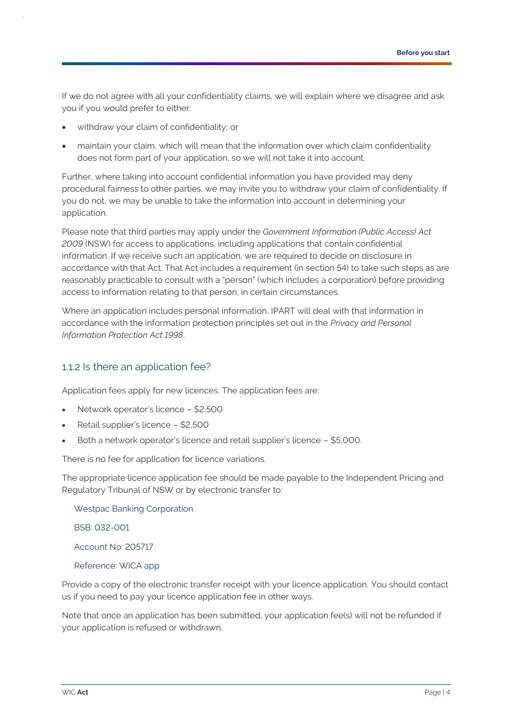If we do not agree with all your confidentiality claims, we will explain where we disagree and ask you if you would prefer to either:

- withdraw your claim of confidentiality; or
- maintain your claim, which will mean that the information over which claim confidentiality does not form part of your application, so we will not take it into account.

Further, where taking into account confidential information you have provided may deny procedural fairness to other parties, we may invite you to withdraw your claim of confidentiality. If you do not, we may be unable to take the information into account in determining your application.

Please note that third parties may apply under the *Government Information (Public Access) Act 2009* (NSW) for access to applications, including applications that contain confidential information. If we receive such an application, we are required to decide on disclosure in accordance with that Act. That Act includes a requirement (in section 54) to take such steps as are reasonably practicable to consult with a "person" (which includes a corporation) before providing access to information relating to that person, in certain circumstances.

Where an application includes personal information, IPART will deal with that information in accordance with the information protection principles set out in the *Privacy and Personal Information Protection Act 1998*.

#### 1.1.2 Is there an application fee?

Application fees apply for new licences. The application fees are:

- Network operator's licence \$2,500
- Retail supplier's licence \$2,500
- Both a network operator's licence and retail supplier's licence \$5,000.

There is no fee for application for licence variations.

The appropriate licence application fee should be made payable to the Independent Pricing and Regulatory Tribunal of NSW or by electronic transfer to:

Westpac Banking Corporation

BSB: 032-001

Account No: 205717

Reference: WICA app

Provide a copy of the electronic transfer receipt with your licence application. You should contact us if you need to pay your licence application fee in other ways.

Note that once an application has been submitted, your application fee(s) will not be refunded if your application is refused or withdrawn.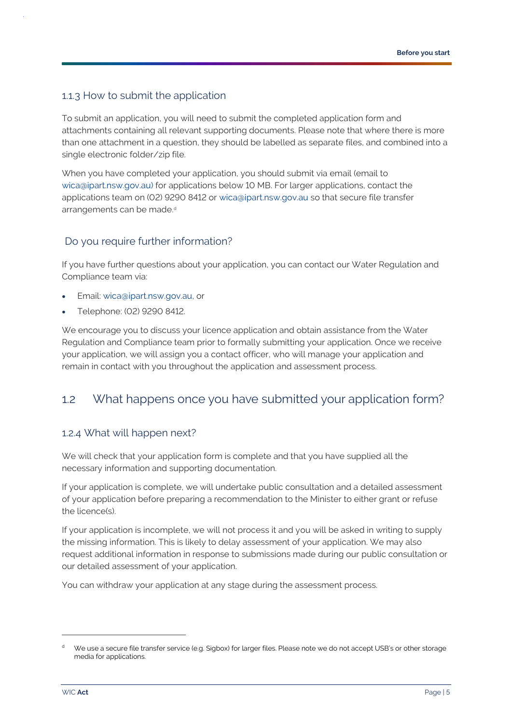#### <span id="page-7-1"></span>1.1.3 How to submit the application

To submit an application, you will need to submit the completed application form and attachments containing all relevant supporting documents. Please note that where there is more than one attachment in a question, they should be labelled as separate files, and combined into a single electronic folder/zip file.

When you have completed your application, you should submit via email (email to [wica@ipart.nsw.gov.au\)](mailto:wica@ipart.nsw.gov.au) for applications below 10 MB. For larger applications, contact the applications team on (02) 9290 8412 or [wica@ipart.nsw.gov.au](mailto:wica@ipart.nsw.gov.au) so that secure file transfer arrangements can be made.<sup>d</sup>

#### Do you require further information?

If you have further questions about your application, you can contact our Water Regulation and Compliance team via:

- Email: [wica@ipart.nsw.gov.au,](mailto:wica@ipart.nsw.gov.au) or
- Telephone: (02) 9290 8412.

We encourage you to discuss your licence application and obtain assistance from the Water Regulation and Compliance team prior to formally submitting your application. Once we receive your application, we will assign you a contact officer, who will manage your application and remain in contact with you throughout the application and assessment process.

### <span id="page-7-0"></span>1.2 What happens once you have submitted your application form?

#### 1.2.4 What will happen next?

We will check that your application form is complete and that you have supplied all the necessary information and supporting documentation.

If your application is complete, we will undertake public consultation and a detailed assessment of your application before preparing a recommendation to the Minister to either grant or refuse the licence(s).

If your application is incomplete, we will not process it and you will be asked in writing to supply the missing information. This is likely to delay assessment of your application. We may also request additional information in response to submissions made during our public consultation or our detailed assessment of your application.

You can withdraw your application at any stage during the assessment process.

We use a secure file transfer service (e.g. Sigbox) for larger files. Please note we do not accept USB's or other storage media for applications.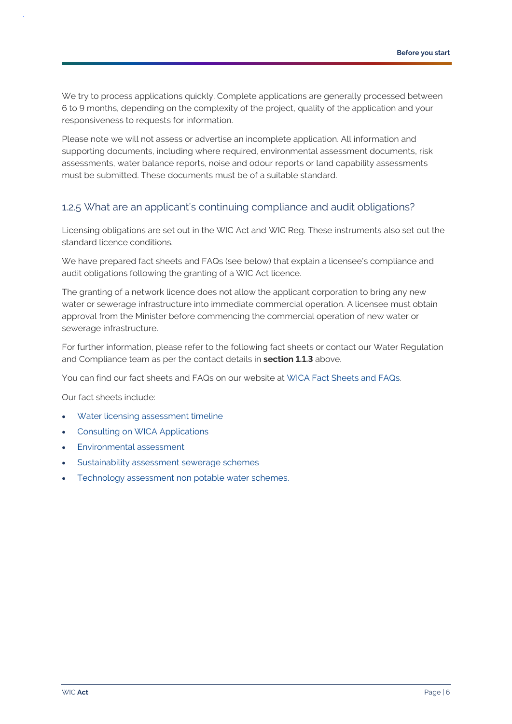We try to process applications quickly. Complete applications are generally processed between 6 to 9 months, depending on the complexity of the project, quality of the application and your responsiveness to requests for information.

Please note we will not assess or advertise an incomplete application. All information and supporting documents, including where required, environmental assessment documents, risk assessments, water balance reports, noise and odour reports or land capability assessments must be submitted. These documents must be of a suitable standard.

#### 1.2.5 What are an applicant's continuing compliance and audit obligations?

Licensing obligations are set out in the WIC Act and WIC Reg. These instruments also set out the standard licence conditions.

We have prepared fact sheets and FAQs (see below) that explain a licensee's compliance and audit obligations following the granting of a WIC Act licence.

The granting of a network licence does not allow the applicant corporation to bring any new water or sewerage infrastructure into immediate commercial operation. A licensee must obtain approval from the Minister before commencing the commercial operation of new water or sewerage infrastructure.

For further information, please refer to the following fact sheets or contact our Water Regulation and Compliance team as per the contact details in **section [1.1.3](#page-7-1)** above.

You can find our fact sheets and FAQs on our website at [WICA Fact Sheets and FAQs.](https://www.ipart.nsw.gov.au/Home/Industries/Water/Alternate-water-utilities-WIC-Act/WIC-Act-Fact-Sheets-FAQs)

Our fact sheets include:

- [Water licensing assessment timeline](http://www.ipart.nsw.gov.au/Home/Industries/Water/Alternate-water-utilities-WICA/WICA-Fact-Sheets-FAQs/Fact-Sheet-Water-Licensing-Assessment-Timeline-August-2017)
- [Consulting on WICA Applications](http://www.ipart.nsw.gov.au/Home/Industries/Water/Alternate-water-utilities-WICA/WICA-Fact-Sheets-FAQs/Fact-Sheet-Consulting-on-WICA-applications-October-2018)
- [Environmental assessment](http://www.ipart.nsw.gov.au/Home/Industries/Water/Alternate-water-utilities-WICA/WICA-Fact-Sheets-FAQs/Fact-Sheet-%E2%80%93-Environmental-Assessment-under-the-Water-Industry-Competition-Act-2006-%E2%80%93-May-2017)
- [Sustainability assessment sewerage schemes](https://www.ipart.nsw.gov.au/Home/Industries/Water/Alternate-water-utilities-WICA/WICA-Fact-Sheets-FAQs/Fact-Sheet-Sustainability-Assessment-sewerage-schemes-under-the-Water-Industry-Competition-Act-2006-February-2012)
- [Technology assessment non potable water schemes.](https://www.ipart.nsw.gov.au/Home/Industries/Water/Alternate-water-utilities-WICA/WICA-Fact-Sheets-FAQs/Fact-sheet-Technology-assessment-non-potable-water-schemes-under-the-Water-Industry-Competition-Act-2006-February-2012)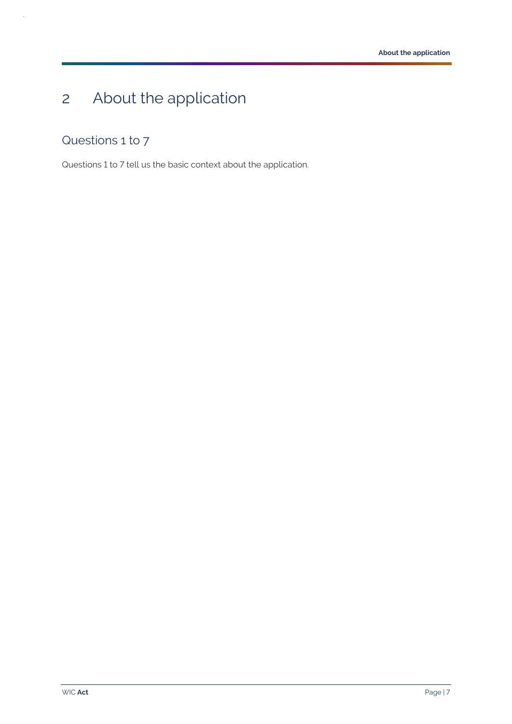# <span id="page-9-0"></span>2 About the application

### <span id="page-9-1"></span>Questions 1 to 7

 $\bar{z}$ 

Questions 1 to 7 tell us the basic context about the application.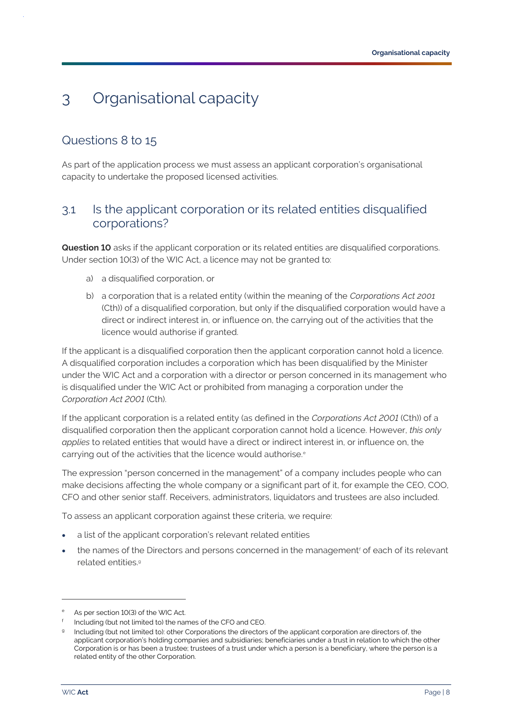## <span id="page-10-0"></span>3 Organisational capacity

### <span id="page-10-1"></span>Questions 8 to 15

As part of the application process we must assess an applicant corporation's organisational capacity to undertake the proposed licensed activities.

### <span id="page-10-2"></span>3.1 Is the applicant corporation or its related entities disqualified corporations?

**Question 10** asks if the applicant corporation or its related entities are disqualified corporations. Under section 10(3) of the WIC Act, a licence may not be granted to:

- a) a disqualified corporation, or
- b) a corporation that is a related entity (within the meaning of the *Corporations Act 2001*  (Cth)) of a disqualified corporation, but only if the disqualified corporation would have a direct or indirect interest in, or influence on, the carrying out of the activities that the licence would authorise if granted.

If the applicant is a disqualified corporation then the applicant corporation cannot hold a licence. A disqualified corporation includes a corporation which has been disqualified by the Minister under the WIC Act and a corporation with a director or person concerned in its management who is disqualified under the WIC Act or prohibited from managing a corporation under the *Corporation Act 2001* (Cth).

If the applicant corporation is a related entity (as defined in the *Corporations Act 2001* (Cth)) of a disqualified corporation then the applicant corporation cannot hold a licence. However, *this only applies* to related entities that would have a direct or indirect interest in, or influence on, the carrying out of the activities that the licence would authorise.<sup>e</sup>

The expression "person concerned in the management" of a company includes people who can make decisions affecting the whole company or a significant part of it, for example the CEO, COO, CFO and other senior staff. Receivers, administrators, liquidators and trustees are also included.

To assess an applicant corporation against these criteria, we require:

- a list of the applicant corporation's relevant related entities
- the names of the Directors and persons concerned in the management<sup>f</sup> of each of its relevant related entities. g

As per section 10(3) of the WIC Act.

f Including (but not limited to) the names of the CFO and CEO.

<sup>&</sup>lt;sup>g</sup> Including (but not limited to): other Corporations the directors of the applicant corporation are directors of, the applicant corporation's holding companies and subsidiaries; beneficiaries under a trust in relation to which the other Corporation is or has been a trustee; trustees of a trust under which a person is a beneficiary, where the person is a related entity of the other Corporation.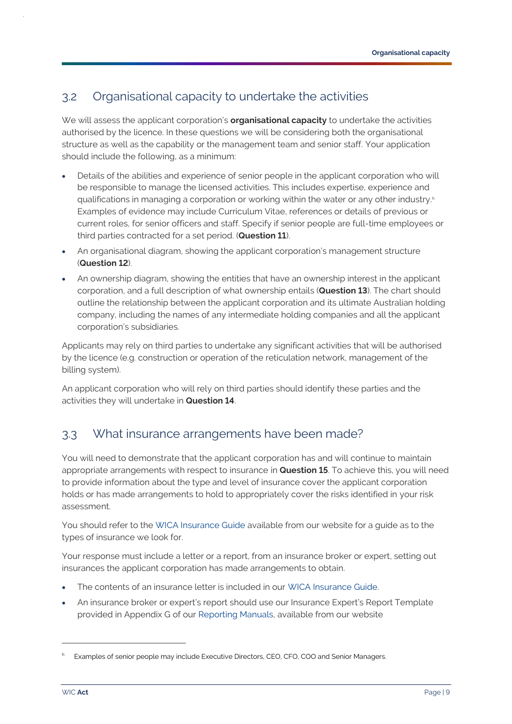### <span id="page-11-0"></span>3.2 Organisational capacity to undertake the activities

We will assess the applicant corporation's **organisational capacity** to undertake the activities authorised by the licence. In these questions we will be considering both the organisational structure as well as the capability or the management team and senior staff. Your application should include the following, as a minimum:

- Details of the abilities and experience of senior people in the applicant corporation who will be responsible to manage the licensed activities. This includes expertise, experience and qualifications in managing a corporation or working within the water or any other industry. h Examples of evidence may include Curriculum Vitae, references or details of previous or current roles, for senior officers and staff. Specify if senior people are full-time employees or third parties contracted for a set period. (**Question 11**).
- An organisational diagram, showing the applicant corporation's management structure (**Question 12**).
- An ownership diagram, showing the entities that have an ownership interest in the applicant corporation, and a full description of what ownership entails (**Question 13**). The chart should outline the relationship between the applicant corporation and its ultimate Australian holding company, including the names of any intermediate holding companies and all the applicant corporation's subsidiaries.

Applicants may rely on third parties to undertake any significant activities that will be authorised by the licence (e.g. construction or operation of the reticulation network, management of the billing system).

An applicant corporation who will rely on third parties should identify these parties and the activities they will undertake in **Question 14**.

### <span id="page-11-1"></span>3.3 What insurance arrangements have been made?

You will need to demonstrate that the applicant corporation has and will continue to maintain appropriate arrangements with respect to insurance in **Question 15**. To achieve this, you will need to provide information about the type and level of insurance cover the applicant corporation holds or has made arrangements to hold to appropriately cover the risks identified in your risk assessment.

You should refer to the [WICA Insurance Guide](https://www.ipart.nsw.gov.au/Home/Industries/Water/Alternate-water-utilities-WICA/Forms-guidelines/WIC-Act-Insurance-Guide-for-Applicants-and-Licensees-July-2020) available from our website for a guide as to the types of insurance we look for.

Your response must include a letter or a report, from an insurance broker or expert, setting out insurances the applicant corporation has made arrangements to obtain.

- The contents of an insurance letter is included in our [WICA Insurance Guide.](https://www.ipart.nsw.gov.au/Home/Industries/Water/Alternate-water-utilities-WICA/Forms-guidelines/WIC-Act-Insurance-Guide-for-Applicants-and-Licensees-July-2020)
- An insurance broker or expert's report should use our Insurance Expert's Report Template provided in Appendix G of our [Reporting Manuals,](https://www.ipart.nsw.gov.au/Home/Industries/Water/Compliance/Policies-manuals-guidelines) available from our website

Examples of senior people may include Executive Directors, CEO, CFO, COO and Senior Managers.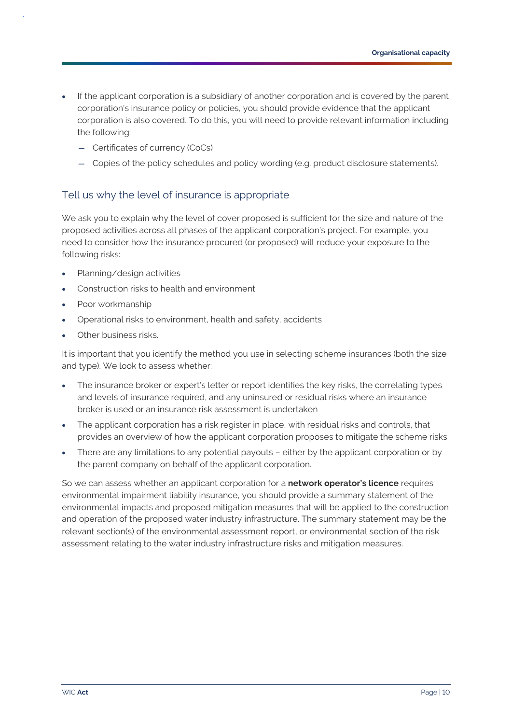- If the applicant corporation is a subsidiary of another corporation and is covered by the parent corporation's insurance policy or policies, you should provide evidence that the applicant corporation is also covered. To do this, you will need to provide relevant information including the following:
	- Certificates of currency (CoCs)
	- Copies of the policy schedules and policy wording (e.g. product disclosure statements).

### Tell us why the level of insurance is appropriate

We ask you to explain why the level of cover proposed is sufficient for the size and nature of the proposed activities across all phases of the applicant corporation's project. For example, you need to consider how the insurance procured (or proposed) will reduce your exposure to the following risks:

- Planning/design activities
- Construction risks to health and environment
- Poor workmanship
- Operational risks to environment, health and safety, accidents
- Other business risks.

It is important that you identify the method you use in selecting scheme insurances (both the size and type). We look to assess whether:

- The insurance broker or expert's letter or report identifies the key risks, the correlating types and levels of insurance required, and any uninsured or residual risks where an insurance broker is used or an insurance risk assessment is undertaken
- The applicant corporation has a risk register in place, with residual risks and controls, that provides an overview of how the applicant corporation proposes to mitigate the scheme risks
- There are any limitations to any potential payouts either by the applicant corporation or by the parent company on behalf of the applicant corporation.

So we can assess whether an applicant corporation for a **network operator's licence** requires environmental impairment liability insurance, you should provide a summary statement of the environmental impacts and proposed mitigation measures that will be applied to the construction and operation of the proposed water industry infrastructure. The summary statement may be the relevant section(s) of the environmental assessment report, or environmental section of the risk assessment relating to the water industry infrastructure risks and mitigation measures.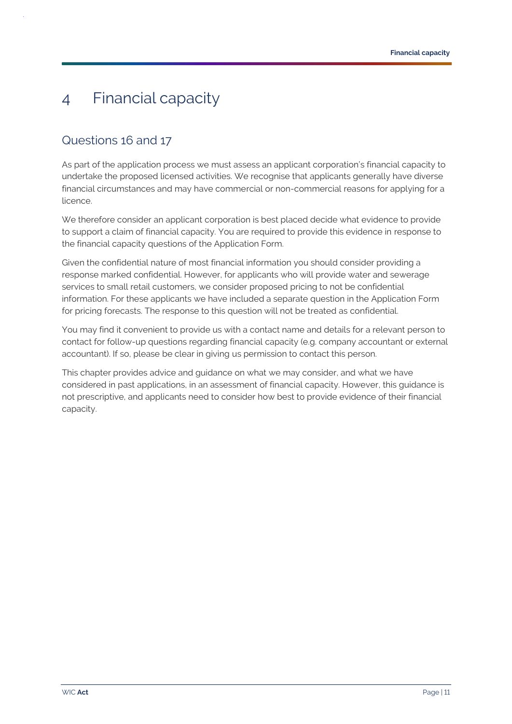## <span id="page-13-0"></span>4 Financial capacity

### <span id="page-13-1"></span>Questions 16 and 17

As part of the application process we must assess an applicant corporation's financial capacity to undertake the proposed licensed activities. We recognise that applicants generally have diverse financial circumstances and may have commercial or non-commercial reasons for applying for a licence.

We therefore consider an applicant corporation is best placed decide what evidence to provide to support a claim of financial capacity. You are required to provide this evidence in response to the financial capacity questions of the Application Form.

Given the confidential nature of most financial information you should consider providing a response marked confidential. However, for applicants who will provide water and sewerage services to small retail customers, we consider proposed pricing to not be confidential information. For these applicants we have included a separate question in the Application Form for pricing forecasts. The response to this question will not be treated as confidential.

You may find it convenient to provide us with a contact name and details for a relevant person to contact for follow-up questions regarding financial capacity (e.g. company accountant or external accountant). If so, please be clear in giving us permission to contact this person.

This chapter provides advice and guidance on what we may consider, and what we have considered in past applications, in an assessment of financial capacity. However, this guidance is not prescriptive, and applicants need to consider how best to provide evidence of their financial capacity.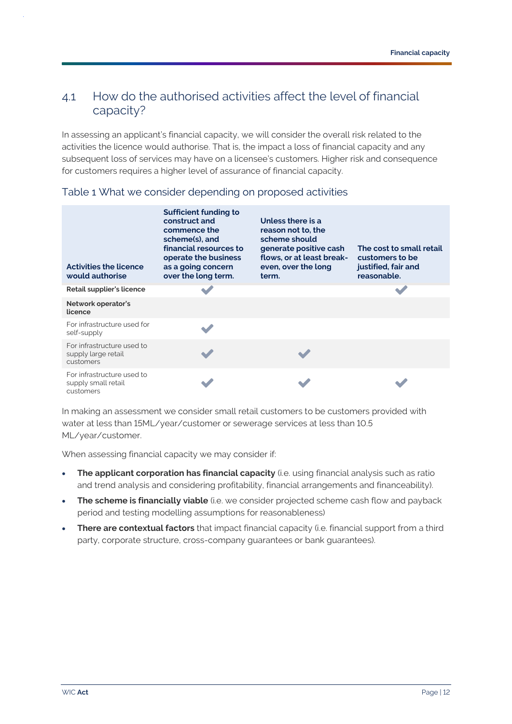### <span id="page-14-0"></span>4.1 How do the authorised activities affect the level of financial capacity?

In assessing an applicant's financial capacity, we will consider the overall risk related to the activities the licence would authorise. That is, the impact a loss of financial capacity and any subsequent loss of services may have on a licensee's customers. Higher risk and consequence for customers requires a higher level of assurance of financial capacity.

| <b>Activities the licence</b><br>would authorise               | <b>Sufficient funding to</b><br>construct and<br>commence the<br>scheme(s), and<br>financial resources to<br>operate the business<br>as a going concern<br>over the long term. | Unless there is a<br>reason not to, the<br>scheme should<br>generate positive cash<br>flows, or at least break-<br>even, over the long<br>term. | The cost to small retail<br>customers to be<br>justified, fair and<br>reasonable. |
|----------------------------------------------------------------|--------------------------------------------------------------------------------------------------------------------------------------------------------------------------------|-------------------------------------------------------------------------------------------------------------------------------------------------|-----------------------------------------------------------------------------------|
| Retail supplier's licence                                      |                                                                                                                                                                                |                                                                                                                                                 |                                                                                   |
| Network operator's<br>licence                                  |                                                                                                                                                                                |                                                                                                                                                 |                                                                                   |
| For infrastructure used for<br>self-supply                     |                                                                                                                                                                                |                                                                                                                                                 |                                                                                   |
| For infrastructure used to<br>supply large retail<br>customers |                                                                                                                                                                                |                                                                                                                                                 |                                                                                   |
| For infrastructure used to<br>supply small retail<br>customers |                                                                                                                                                                                |                                                                                                                                                 |                                                                                   |

#### Table 1 What we consider depending on proposed activities

In making an assessment we consider small retail customers to be customers provided with water at less than 15ML/year/customer or sewerage services at less than 10.5 ML/year/customer.

When assessing financial capacity we may consider if:

- **The applicant corporation has financial capacity** (i.e. using financial analysis such as ratio and trend analysis and considering profitability, financial arrangements and financeability).
- **The scheme is financially viable** (i.e. we consider projected scheme cash flow and payback period and testing modelling assumptions for reasonableness)
- **There are contextual factors** that impact financial capacity (i.e. financial support from a third party, corporate structure, cross-company guarantees or bank guarantees).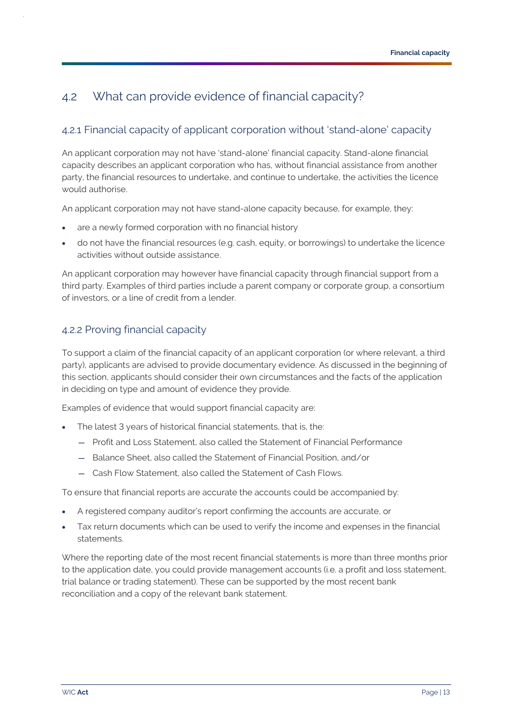### <span id="page-15-0"></span>4.2 What can provide evidence of financial capacity?

### 4.2.1 Financial capacity of applicant corporation without 'stand-alone' capacity

An applicant corporation may not have 'stand-alone' financial capacity. Stand-alone financial capacity describes an applicant corporation who has, without financial assistance from another party, the financial resources to undertake, and continue to undertake, the activities the licence would authorise.

An applicant corporation may not have stand-alone capacity because, for example, they:

- are a newly formed corporation with no financial history
- do not have the financial resources (e.g. cash, equity, or borrowings) to undertake the licence activities without outside assistance.

An applicant corporation may however have financial capacity through financial support from a third party. Examples of third parties include a parent company or corporate group, a consortium of investors, or a line of credit from a lender.

#### 4.2.2 Proving financial capacity

To support a claim of the financial capacity of an applicant corporation (or where relevant, a third party), applicants are advised to provide documentary evidence. As discussed in the beginning of this section, applicants should consider their own circumstances and the facts of the application in deciding on type and amount of evidence they provide.

Examples of evidence that would support financial capacity are:

- The latest 3 years of historical financial statements, that is, the:
	- Profit and Loss Statement, also called the Statement of Financial Performance
	- Balance Sheet, also called the Statement of Financial Position, and/or
	- Cash Flow Statement, also called the Statement of Cash Flows.

To ensure that financial reports are accurate the accounts could be accompanied by:

- A registered company auditor's report confirming the accounts are accurate, or
- Tax return documents which can be used to verify the income and expenses in the financial statements.

Where the reporting date of the most recent financial statements is more than three months prior to the application date, you could provide management accounts (i.e. a profit and loss statement, trial balance or trading statement). These can be supported by the most recent bank reconciliation and a copy of the relevant bank statement.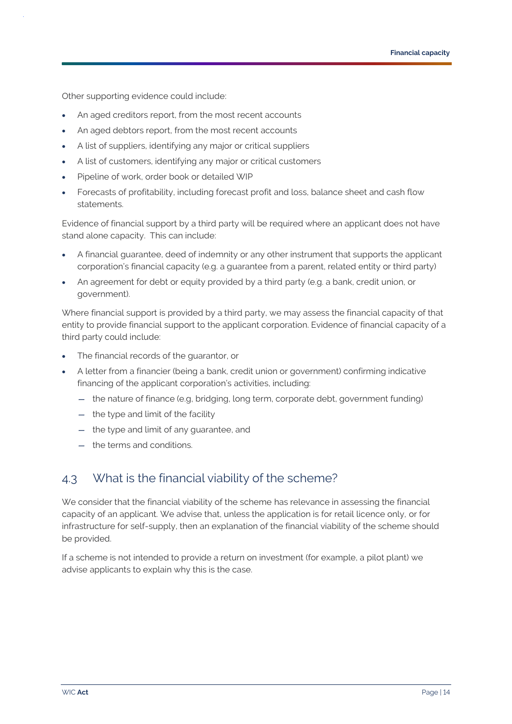Other supporting evidence could include:

- An aged creditors report, from the most recent accounts
- An aged debtors report, from the most recent accounts
- A list of suppliers, identifying any major or critical suppliers
- A list of customers, identifying any major or critical customers
- Pipeline of work, order book or detailed WIP
- Forecasts of profitability, including forecast profit and loss, balance sheet and cash flow statements.

Evidence of financial support by a third party will be required where an applicant does not have stand alone capacity. This can include:

- A financial guarantee, deed of indemnity or any other instrument that supports the applicant corporation's financial capacity (e.g. a guarantee from a parent, related entity or third party)
- An agreement for debt or equity provided by a third party (e.g. a bank, credit union, or government).

Where financial support is provided by a third party, we may assess the financial capacity of that entity to provide financial support to the applicant corporation. Evidence of financial capacity of a third party could include:

- The financial records of the guarantor, or
- A letter from a financier (being a bank, credit union or government) confirming indicative financing of the applicant corporation's activities, including:
	- the nature of finance (e.g, bridging, long term, corporate debt, government funding)
	- the type and limit of the facility
	- the type and limit of any guarantee, and
	- the terms and conditions.

### <span id="page-16-0"></span>4.3 What is the financial viability of the scheme?

We consider that the financial viability of the scheme has relevance in assessing the financial capacity of an applicant. We advise that, unless the application is for retail licence only, or for infrastructure for self-supply, then an explanation of the financial viability of the scheme should be provided.

If a scheme is not intended to provide a return on investment (for example, a pilot plant) we advise applicants to explain why this is the case.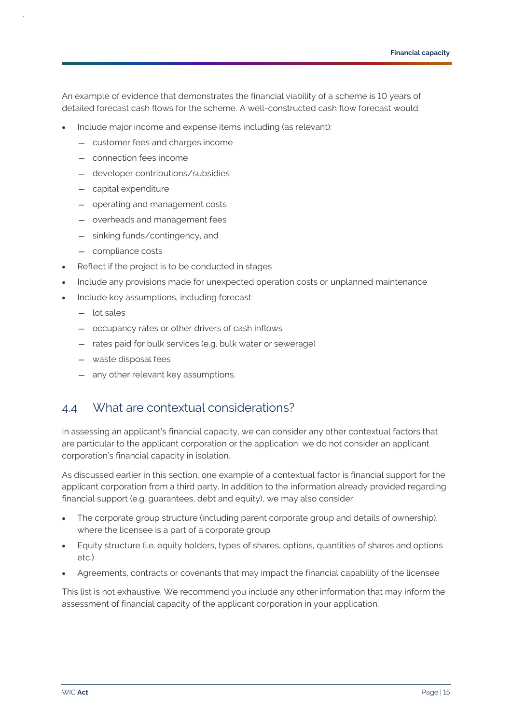An example of evidence that demonstrates the financial viability of a scheme is 10 years of detailed forecast cash flows for the scheme. A well-constructed cash flow forecast would:

- Include major income and expense items including (as relevant):
	- customer fees and charges income
	- connection fees income
	- developer contributions/subsidies
	- capital expenditure
	- operating and management costs
	- overheads and management fees
	- sinking funds/contingency, and
	- compliance costs
- Reflect if the project is to be conducted in stages
- Include any provisions made for unexpected operation costs or unplanned maintenance
- Include key assumptions, including forecast:
	- lot sales
	- occupancy rates or other drivers of cash inflows
	- rates paid for bulk services (e.g. bulk water or sewerage)
	- waste disposal fees
	- any other relevant key assumptions.

### <span id="page-17-0"></span>4.4 What are contextual considerations?

In assessing an applicant's financial capacity, we can consider any other contextual factors that are particular to the applicant corporation or the application: we do not consider an applicant corporation's financial capacity in isolation.

As discussed earlier in this section, one example of a contextual factor is financial support for the applicant corporation from a third party. In addition to the information already provided regarding financial support (e.g. guarantees, debt and equity), we may also consider:

- The corporate group structure (including parent corporate group and details of ownership), where the licensee is a part of a corporate group
- Equity structure (i.e. equity holders, types of shares, options, quantities of shares and options etc.)
- Agreements, contracts or covenants that may impact the financial capability of the licensee

This list is not exhaustive. We recommend you include any other information that may inform the assessment of financial capacity of the applicant corporation in your application.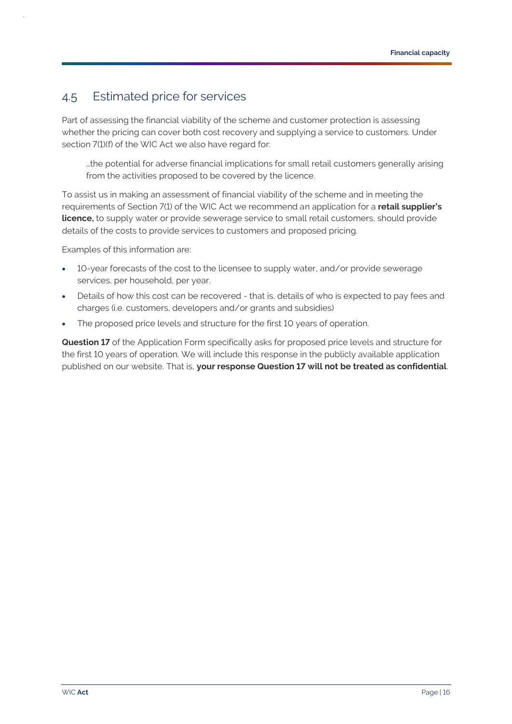### <span id="page-18-0"></span>4.5 Estimated price for services

Part of assessing the financial viability of the scheme and customer protection is assessing whether the pricing can cover both cost recovery and supplying a service to customers. Under section 7(1)(f) of the WIC Act we also have regard for:

…the potential for adverse financial implications for small retail customers generally arising from the activities proposed to be covered by the licence.

To assist us in making an assessment of financial viability of the scheme and in meeting the requirements of Section 7(1) of the WIC Act we recommend an application for a **retail supplier's licence,** to supply water or provide sewerage service to small retail customers, should provide details of the costs to provide services to customers and proposed pricing.

Examples of this information are:

- 10-year forecasts of the cost to the licensee to supply water, and/or provide sewerage services, per household, per year.
- Details of how this cost can be recovered that is, details of who is expected to pay fees and charges (i.e. customers, developers and/or grants and subsidies)
- The proposed price levels and structure for the first 10 years of operation.

**Question 17** of the Application Form specifically asks for proposed price levels and structure for the first 10 years of operation. We will include this response in the publicly available application published on our website. That is, **your response Question 17 will not be treated as confidential**.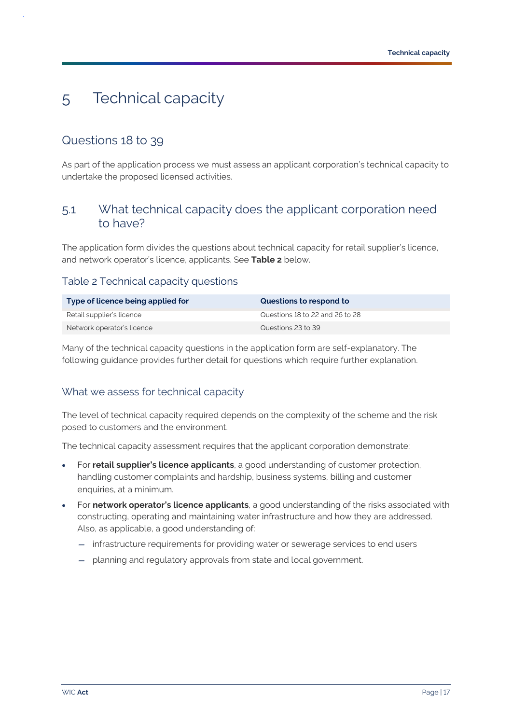## <span id="page-19-0"></span>5 Technical capacity

### <span id="page-19-1"></span>Questions 18 to 39

As part of the application process we must assess an applicant corporation's technical capacity to undertake the proposed licensed activities.

### <span id="page-19-2"></span>5.1 What technical capacity does the applicant corporation need to have?

The application form divides the questions about technical capacity for retail supplier's licence, and network operator's licence, applicants. See **[Table 2](#page-19-3)** below.

#### <span id="page-19-3"></span>Table 2 Technical capacity questions

| Type of licence being applied for | Questions to respond to         |
|-----------------------------------|---------------------------------|
| Retail supplier's licence         | Questions 18 to 22 and 26 to 28 |
| Network operator's licence        | Questions 23 to 39              |

Many of the technical capacity questions in the application form are self-explanatory. The following guidance provides further detail for questions which require further explanation.

#### What we assess for technical capacity

The level of technical capacity required depends on the complexity of the scheme and the risk posed to customers and the environment.

The technical capacity assessment requires that the applicant corporation demonstrate:

- For **retail supplier's licence applicants**, a good understanding of customer protection, handling customer complaints and hardship, business systems, billing and customer enquiries, at a minimum.
- For **network operator's licence applicants**, a good understanding of the risks associated with constructing, operating and maintaining water infrastructure and how they are addressed. Also, as applicable, a good understanding of:
	- infrastructure requirements for providing water or sewerage services to end users
	- planning and regulatory approvals from state and local government.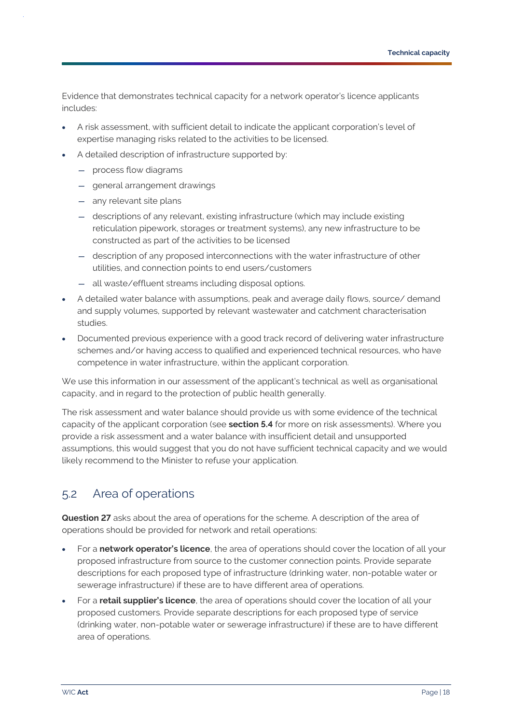Evidence that demonstrates technical capacity for a network operator's licence applicants includes:

- A risk assessment, with sufficient detail to indicate the applicant corporation's level of expertise managing risks related to the activities to be licensed.
- A detailed description of infrastructure supported by:
	- process flow diagrams
	- general arrangement drawings
	- any relevant site plans
	- descriptions of any relevant, existing infrastructure (which may include existing reticulation pipework, storages or treatment systems), any new infrastructure to be constructed as part of the activities to be licensed
	- description of any proposed interconnections with the water infrastructure of other utilities, and connection points to end users/customers
	- all waste/effluent streams including disposal options.
- A detailed water balance with assumptions, peak and average daily flows, source/ demand and supply volumes, supported by relevant wastewater and catchment characterisation studies.
- Documented previous experience with a good track record of delivering water infrastructure schemes and/or having access to qualified and experienced technical resources, who have competence in water infrastructure, within the applicant corporation.

We use this information in our assessment of the applicant's technical as well as organisational capacity, and in regard to the protection of public health generally.

The risk assessment and water balance should provide us with some evidence of the technical capacity of the applicant corporation (see **sectio[n 5.4](#page-22-0)** for more on risk assessments). Where you provide a risk assessment and a water balance with insufficient detail and unsupported assumptions, this would suggest that you do not have sufficient technical capacity and we would likely recommend to the Minister to refuse your application.

### <span id="page-20-0"></span>5.2 Area of operations

**Question 27** asks about the area of operations for the scheme. A description of the area of operations should be provided for network and retail operations:

- For a **network operator's licence**, the area of operations should cover the location of all your proposed infrastructure from source to the customer connection points. Provide separate descriptions for each proposed type of infrastructure (drinking water, non-potable water or sewerage infrastructure) if these are to have different area of operations.
- For a **retail supplier's licence**, the area of operations should cover the location of all your proposed customers. Provide separate descriptions for each proposed type of service (drinking water, non-potable water or sewerage infrastructure) if these are to have different area of operations.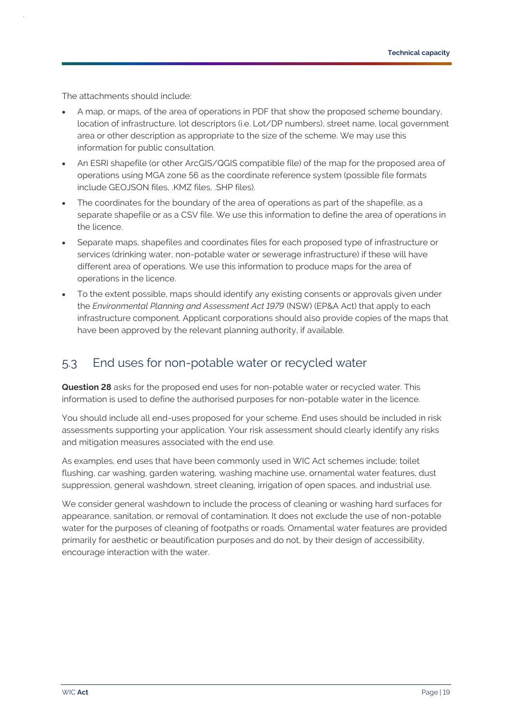The attachments should include:

- A map, or maps, of the area of operations in PDF that show the proposed scheme boundary, location of infrastructure, lot descriptors (i.e. Lot/DP numbers), street name, local government area or other description as appropriate to the size of the scheme. We may use this information for public consultation.
- An ESRI shapefile (or other ArcGIS/QGIS compatible file) of the map for the proposed area of operations using MGA zone 56 as the coordinate reference system (possible file formats include GEOJSON files, .KMZ files, .SHP files).
- The coordinates for the boundary of the area of operations as part of the shapefile, as a separate shapefile or as a CSV file. We use this information to define the area of operations in the licence.
- Separate maps, shapefiles and coordinates files for each proposed type of infrastructure or services (drinking water, non-potable water or sewerage infrastructure) if these will have different area of operations. We use this information to produce maps for the area of operations in the licence.
- To the extent possible, maps should identify any existing consents or approvals given under the *Environmental Planning and Assessment Act 1979* (NSW) (EP&A Act) that apply to each infrastructure component. Applicant corporations should also provide copies of the maps that have been approved by the relevant planning authority, if available.

### <span id="page-21-0"></span>5.3 End uses for non-potable water or recycled water

**Question 28** asks for the proposed end uses for non-potable water or recycled water. This information is used to define the authorised purposes for non-potable water in the licence.

You should include all end-uses proposed for your scheme. End uses should be included in risk assessments supporting your application. Your risk assessment should clearly identify any risks and mitigation measures associated with the end use.

As examples, end uses that have been commonly used in WIC Act schemes include; toilet flushing, car washing, garden watering, washing machine use, ornamental water features, dust suppression, general washdown, street cleaning, irrigation of open spaces, and industrial use.

We consider general washdown to include the process of cleaning or washing hard surfaces for appearance, sanitation, or removal of contamination. It does not exclude the use of non-potable water for the purposes of cleaning of footpaths or roads. Ornamental water features are provided primarily for aesthetic or beautification purposes and do not, by their design of accessibility, encourage interaction with the water.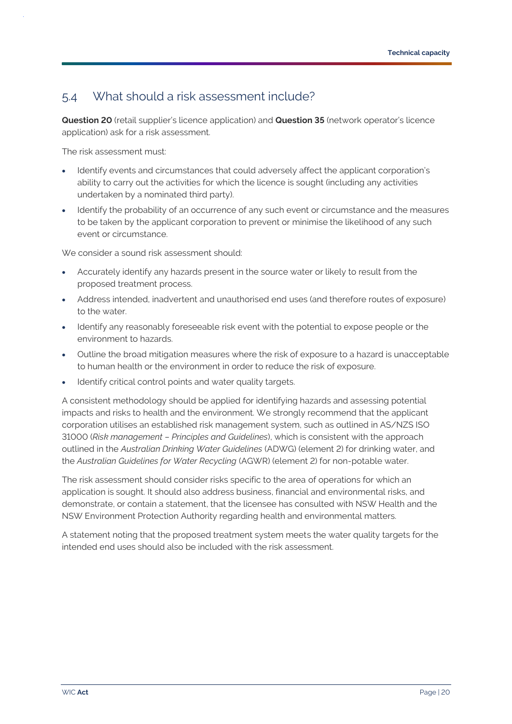### <span id="page-22-0"></span>5.4 What should a risk assessment include?

**Question 20** (retail supplier's licence application) and **Question 35** (network operator's licence application) ask for a risk assessment.

The risk assessment must:

- Identify events and circumstances that could adversely affect the applicant corporation's ability to carry out the activities for which the licence is sought (including any activities undertaken by a nominated third party).
- Identify the probability of an occurrence of any such event or circumstance and the measures to be taken by the applicant corporation to prevent or minimise the likelihood of any such event or circumstance.

We consider a sound risk assessment should:

- Accurately identify any hazards present in the source water or likely to result from the proposed treatment process.
- Address intended, inadvertent and unauthorised end uses (and therefore routes of exposure) to the water.
- Identify any reasonably foreseeable risk event with the potential to expose people or the environment to hazards.
- Outline the broad mitigation measures where the risk of exposure to a hazard is unacceptable to human health or the environment in order to reduce the risk of exposure.
- Identify critical control points and water quality targets.

A consistent methodology should be applied for identifying hazards and assessing potential impacts and risks to health and the environment. We strongly recommend that the applicant corporation utilises an established risk management system, such as outlined in AS/NZS ISO 31000 (*Risk management – Principles and Guidelines*), which is consistent with the approach outlined in the *Australian Drinking Water Guidelines* (ADWG) (element 2) for drinking water, and the *Australian Guidelines for Water Recycling* (AGWR) (element 2) for non-potable water.

The risk assessment should consider risks specific to the area of operations for which an application is sought. It should also address business, financial and environmental risks, and demonstrate, or contain a statement, that the licensee has consulted with NSW Health and the NSW Environment Protection Authority regarding health and environmental matters.

A statement noting that the proposed treatment system meets the water quality targets for the intended end uses should also be included with the risk assessment.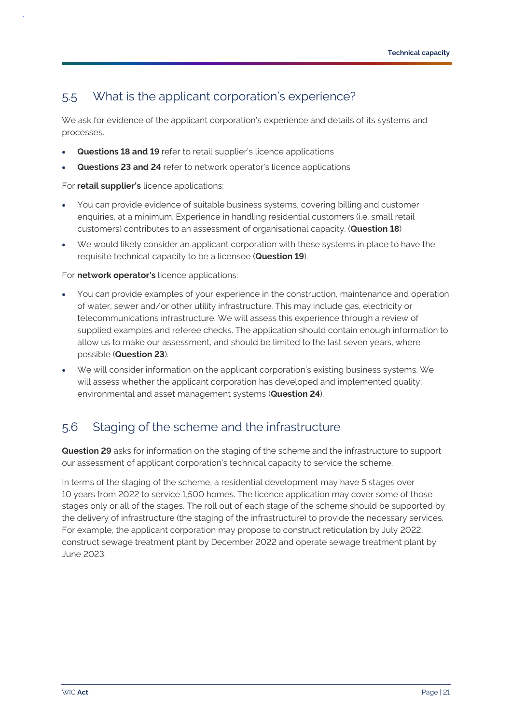### <span id="page-23-0"></span>5.5 What is the applicant corporation's experience?

We ask for evidence of the applicant corporation's experience and details of its systems and processes.

- **Questions 18 and 19** refer to retail supplier's licence applications
- **Questions 23 and 24** refer to network operator's licence applications

For **retail supplier's** licence applications:

- You can provide evidence of suitable business systems, covering billing and customer enquiries, at a minimum. Experience in handling residential customers (i.e. small retail customers) contributes to an assessment of organisational capacity. (**Question 18**)
- We would likely consider an applicant corporation with these systems in place to have the requisite technical capacity to be a licensee (**Question 19**).

For **network operator's** licence applications:

- You can provide examples of your experience in the construction, maintenance and operation of water, sewer and/or other utility infrastructure. This may include gas, electricity or telecommunications infrastructure. We will assess this experience through a review of supplied examples and referee checks. The application should contain enough information to allow us to make our assessment, and should be limited to the last seven years, where possible (**Question 23**).
- We will consider information on the applicant corporation's existing business systems. We will assess whether the applicant corporation has developed and implemented quality, environmental and asset management systems (**Question 24**).

### <span id="page-23-1"></span>5.6 Staging of the scheme and the infrastructure

**Question 29** asks for information on the staging of the scheme and the infrastructure to support our assessment of applicant corporation's technical capacity to service the scheme.

In terms of the staging of the scheme, a residential development may have 5 stages over 10 years from 2022 to service 1,500 homes. The licence application may cover some of those stages only or all of the stages. The roll out of each stage of the scheme should be supported by the delivery of infrastructure (the staging of the infrastructure) to provide the necessary services. For example, the applicant corporation may propose to construct reticulation by July 2022, construct sewage treatment plant by December 2022 and operate sewage treatment plant by June 2023.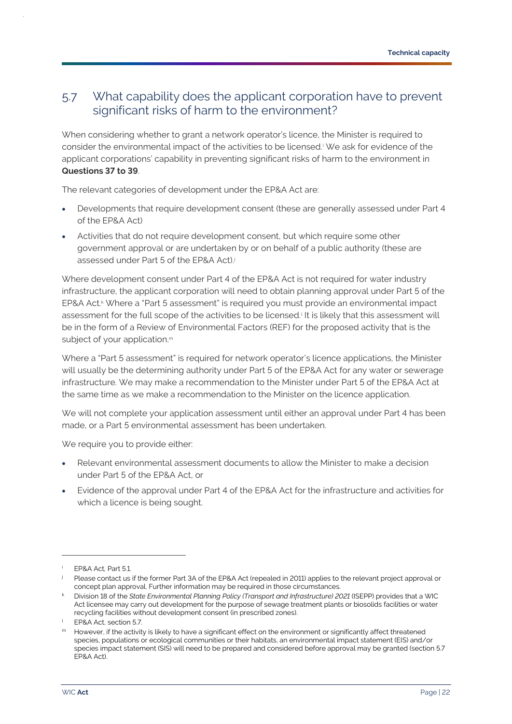### <span id="page-24-0"></span>5.7 What capability does the applicant corporation have to prevent significant risks of harm to the environment?

When considering whether to grant a network operator's licence, the Minister is required to consider the environmental impact of the activities to be licensed. We ask for evidence of the applicant corporations' capability in preventing significant risks of harm to the environment in **Questions 37 to 39**.

The relevant categories of development under the EP&A Act are:

- Developments that require development consent (these are generally assessed under Part 4 of the EP&A Act)
- Activities that do not require development consent, but which require some other government approval or are undertaken by or on behalf of a public authority (these are assessed under Part 5 of the EP&A Act).j

Where development consent under Part 4 of the EP&A Act is not required for water industry infrastructure, the applicant corporation will need to obtain planning approval under Part 5 of the EP&A Act.<sup>k</sup> Where a "Part 5 assessment" is required you must provide an environmental impact assessment for the full scope of the activities to be licensed.<sup>1</sup> It is likely that this assessment will be in the form of a Review of Environmental Factors (REF) for the proposed activity that is the subject of your application.<sup>m</sup>

Where a "Part 5 assessment" is required for network operator's licence applications, the Minister will usually be the determining authority under Part 5 of the EP&A Act for any water or sewerage infrastructure. We may make a recommendation to the Minister under Part 5 of the EP&A Act at the same time as we make a recommendation to the Minister on the licence application.

We will not complete your application assessment until either an approval under Part 4 has been made, or a Part 5 environmental assessment has been undertaken.

We require you to provide either:

- Relevant environmental assessment documents to allow the Minister to make a decision under Part 5 of the EP&A Act, or
- Evidence of the approval under Part 4 of the EP&A Act for the infrastructure and activities for which a licence is being sought.

<sup>i</sup> EP&A Act*,* Part 5.1.

<sup>&</sup>lt;sup>j</sup> Please contact us if the former Part 3A of the EP&A Act (repealed in 2011) applies to the relevant project approval or concept plan approval. Further information may be required in those circumstances.

<sup>k</sup> Division 18 of the *State Environmental Planning Policy (Transport and Infrastructure) 2021* (ISEPP) provides that a WIC Act licensee may carry out development for the purpose of sewage treatment plants or biosolids facilities or water recycling facilities without development consent (in prescribed zones).

<sup>&</sup>lt;sup>1</sup> EP&A Act, section 5.7

m However, if the activity is likely to have a significant effect on the environment or significantly affect threatened species, populations or ecological communities or their habitats, an environmental impact statement (EIS) and/or species impact statement (SIS) will need to be prepared and considered before approval may be granted (section 5.7 EP&A Act).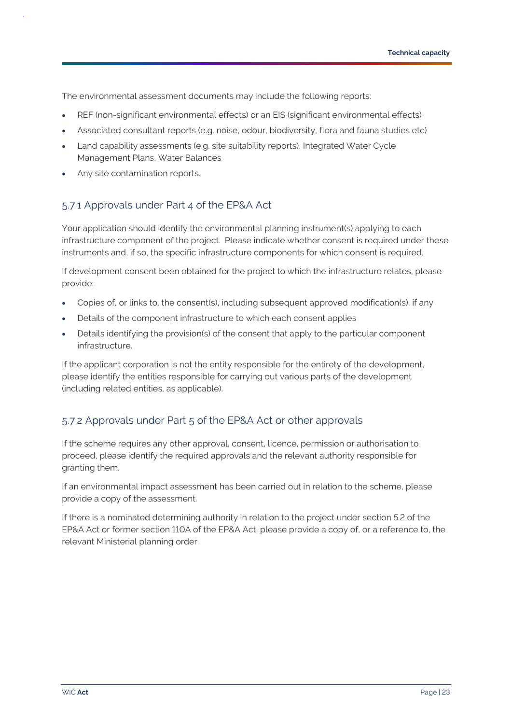The environmental assessment documents may include the following reports:

- REF (non-significant environmental effects) or an EIS (significant environmental effects)
- Associated consultant reports (e.g. noise, odour, biodiversity, flora and fauna studies etc)
- Land capability assessments (e.g. site suitability reports), Integrated Water Cycle Management Plans, Water Balances
- Any site contamination reports.

### 5.7.1 Approvals under Part 4 of the EP&A Act

Your application should identify the environmental planning instrument(s) applying to each infrastructure component of the project. Please indicate whether consent is required under these instruments and, if so, the specific infrastructure components for which consent is required.

If development consent been obtained for the project to which the infrastructure relates, please provide:

- Copies of, or links to, the consent(s), including subsequent approved modification(s), if any
- Details of the component infrastructure to which each consent applies
- Details identifying the provision(s) of the consent that apply to the particular component infrastructure.

If the applicant corporation is not the entity responsible for the entirety of the development, please identify the entities responsible for carrying out various parts of the development (including related entities, as applicable).

#### 5.7.2 Approvals under Part 5 of the EP&A Act or other approvals

If the scheme requires any other approval, consent, licence, permission or authorisation to proceed, please identify the required approvals and the relevant authority responsible for granting them.

If an environmental impact assessment has been carried out in relation to the scheme, please provide a copy of the assessment.

If there is a nominated determining authority in relation to the project under section 5.2 of the EP&A Act or former section 110A of the EP&A Act, please provide a copy of, or a reference to, the relevant Ministerial planning order.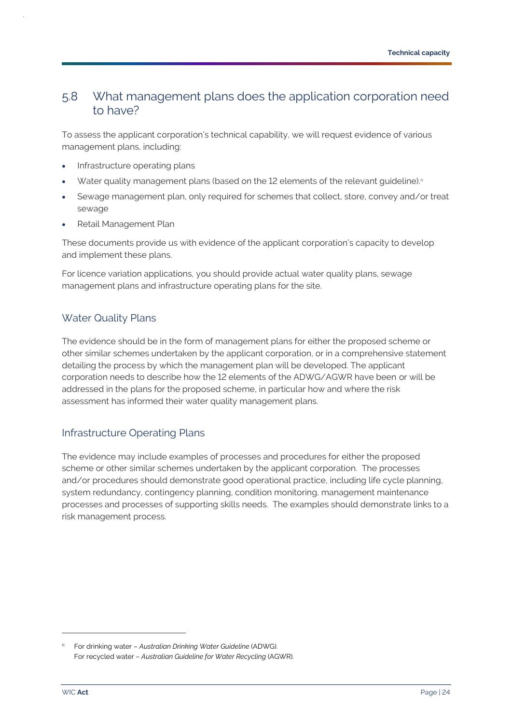### <span id="page-26-0"></span>5.8 What management plans does the application corporation need to have?

To assess the applicant corporation's technical capability, we will request evidence of various management plans, including:

- Infrastructure operating plans
- Water quality management plans (based on the 12 elements of the relevant guideline).<sup>n</sup>
- Sewage management plan, only required for schemes that collect, store, convey and/or treat sewage
- Retail Management Plan

These documents provide us with evidence of the applicant corporation's capacity to develop and implement these plans.

For licence variation applications, you should provide actual water quality plans, sewage management plans and infrastructure operating plans for the site.

#### Water Quality Plans

The evidence should be in the form of management plans for either the proposed scheme or other similar schemes undertaken by the applicant corporation, or in a comprehensive statement detailing the process by which the management plan will be developed. The applicant corporation needs to describe how the 12 elements of the ADWG/AGWR have been or will be addressed in the plans for the proposed scheme, in particular how and where the risk assessment has informed their water quality management plans.

### Infrastructure Operating Plans

The evidence may include examples of processes and procedures for either the proposed scheme or other similar schemes undertaken by the applicant corporation. The processes and/or procedures should demonstrate good operational practice, including life cycle planning, system redundancy, contingency planning, condition monitoring, management maintenance processes and processes of supporting skills needs. The examples should demonstrate links to a risk management process.

<sup>n</sup> For drinking water – *Australian Drinking Water Guideline* (ADWG). For recycled water *– Australian Guideline for Water Recycling* (AGWR)*.*